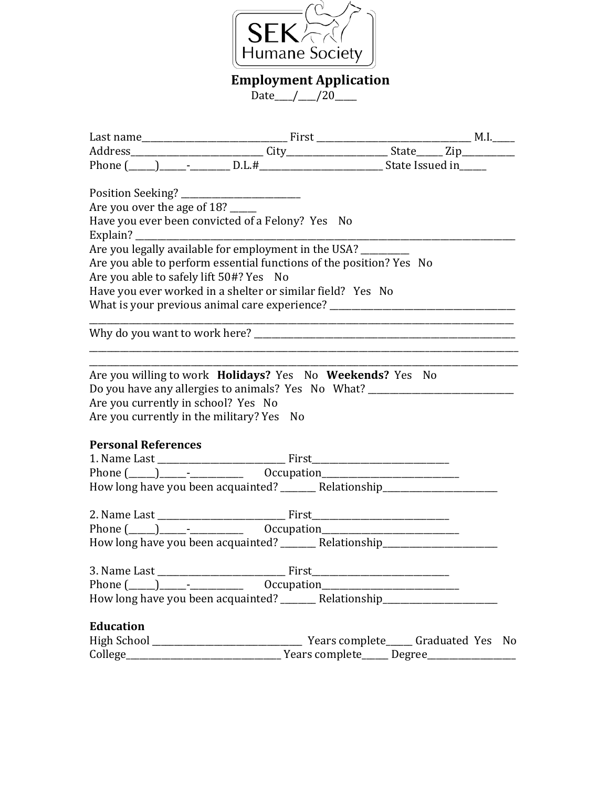

 **Employment Application**

Date\_\_\_/\_\_\_/20\_\_\_\_

| Are you over the age of 18? _____                                                                                                                                    |  |  |
|----------------------------------------------------------------------------------------------------------------------------------------------------------------------|--|--|
| Have you ever been convicted of a Felony? Yes No                                                                                                                     |  |  |
|                                                                                                                                                                      |  |  |
| Are you legally available for employment in the USA? _________                                                                                                       |  |  |
| Are you able to perform essential functions of the position? Yes No                                                                                                  |  |  |
| Are you able to safely lift 50#? Yes No                                                                                                                              |  |  |
| Have you ever worked in a shelter or similar field? Yes No                                                                                                           |  |  |
| What is your previous animal care experience? __________________________________                                                                                     |  |  |
|                                                                                                                                                                      |  |  |
| Do you have any allergies to animals? Yes No What? _____________________________<br>Are you currently in school? Yes No<br>Are you currently in the military? Yes No |  |  |
| <b>Personal References</b>                                                                                                                                           |  |  |
|                                                                                                                                                                      |  |  |
|                                                                                                                                                                      |  |  |
| How long have you been acquainted? ________ Relationship________________________                                                                                     |  |  |
|                                                                                                                                                                      |  |  |
|                                                                                                                                                                      |  |  |
| How long have you been acquainted? _________ Relationship_______________________                                                                                     |  |  |
|                                                                                                                                                                      |  |  |
| Phone $(\_\_)$ $\_\_$                                                                                                                                                |  |  |
| How long have you been acquainted? _________ Relationship_______________________                                                                                     |  |  |
| <b>Education</b>                                                                                                                                                     |  |  |
|                                                                                                                                                                      |  |  |
|                                                                                                                                                                      |  |  |